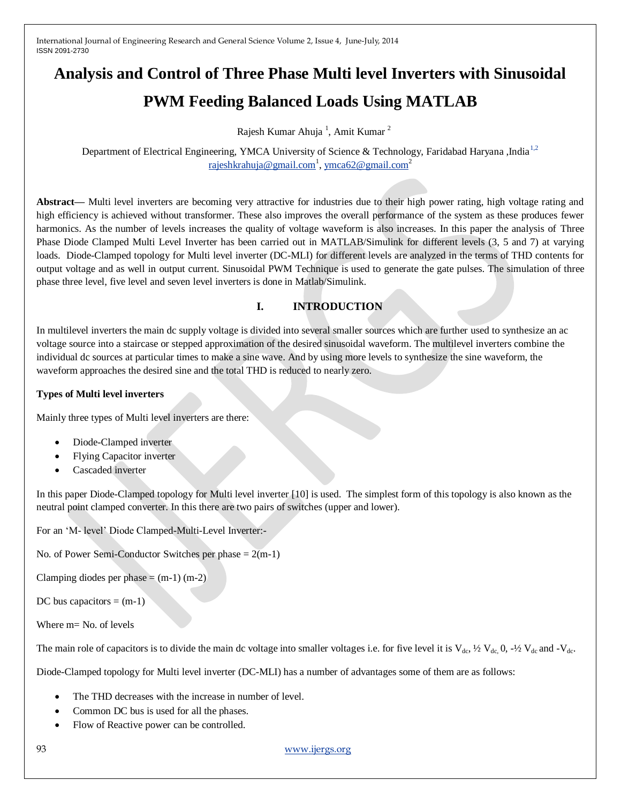# **Analysis and Control of Three Phase Multi level Inverters with Sinusoidal PWM Feeding Balanced Loads Using MATLAB**

Rajesh Kumar Ahuja<sup>1</sup>, Amit Kumar<sup>2</sup>

Department of Electrical Engineering, YMCA University of Science & Technology, Faridabad Haryana ,India<sup>1,2</sup> <u>[rajeshkrahuja@gmail.com](mailto:1,2%20rajeshkrahuja@gmail.com)<sup>1</sup>, [ymca62@gmail.com](mailto:ymca62@gmail.com)</u><sup>2</sup>

**Abstract—** Multi level inverters are becoming very attractive for industries due to their high power rating, high voltage rating and high efficiency is achieved without transformer. These also improves the overall performance of the system as these produces fewer harmonics. As the number of levels increases the quality of voltage waveform is also increases. In this paper the analysis of Three Phase Diode Clamped Multi Level Inverter has been carried out in MATLAB/Simulink for different levels (3, 5 and 7) at varying loads. Diode-Clamped topology for Multi level inverter (DC-MLI) for different levels are analyzed in the terms of THD contents for output voltage and as well in output current. Sinusoidal PWM Technique is used to generate the gate pulses. The simulation of three phase three level, five level and seven level inverters is done in Matlab/Simulink.

# **I. INTRODUCTION**

In multilevel inverters the main dc supply voltage is divided into several smaller sources which are further used to synthesize an ac voltage source into a staircase or stepped approximation of the desired sinusoidal waveform. The multilevel inverters combine the individual dc sources at particular times to make a sine wave. And by using more levels to synthesize the sine waveform, the waveform approaches the desired sine and the total THD is reduced to nearly zero.

#### **Types of Multi level inverters**

Mainly three types of Multi level inverters are there:

- Diode-Clamped inverter
- Flying Capacitor inverter
- Cascaded inverter

In this paper Diode-Clamped topology for Multi level inverter [10] is used. The simplest form of this topology is also known as the neutral point clamped converter. In this there are two pairs of switches (upper and lower).

For an "M- level" Diode Clamped-Multi-Level Inverter:-

No. of Power Semi-Conductor Switches per phase  $= 2(m-1)$ 

Clamping diodes per phase  $=$  (m-1) (m-2)

DC bus capacitors  $=$  (m-1)

Where m= No. of levels

The main role of capacitors is to divide the main dc voltage into smaller voltages i.e. for five level it is  $V_{dc}$ ,  $\frac{1}{2}V_{dc}$ ,  $0$ ,  $\frac{1}{2}V_{dc}$  and  $-V_{dc}$ .

Diode-Clamped topology for Multi level inverter (DC-MLI) has a number of advantages some of them are as follows:

- The THD decreases with the increase in number of level.
- Common DC bus is used for all the phases.
- Flow of Reactive power can be controlled.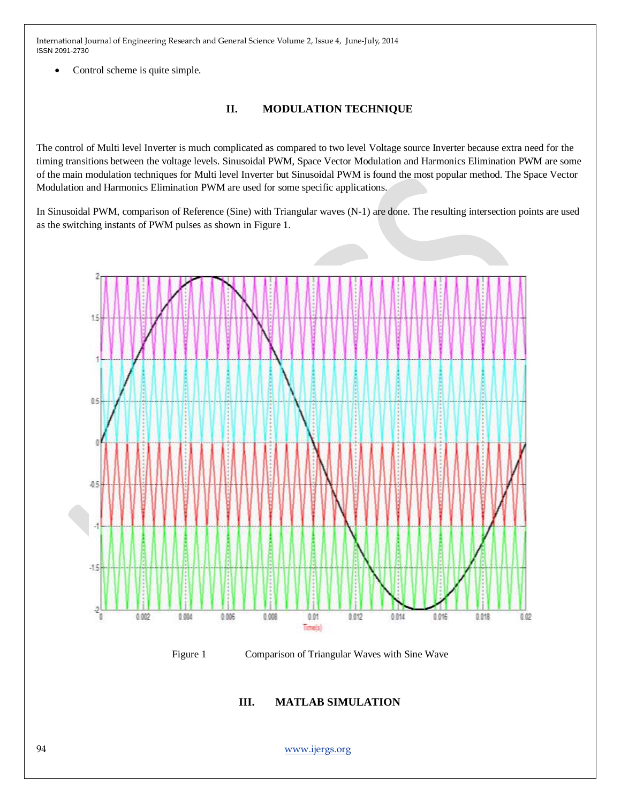Control scheme is quite simple.

# **II. MODULATION TECHNIQUE**

The control of Multi level Inverter is much complicated as compared to two level Voltage source Inverter because extra need for the timing transitions between the voltage levels. Sinusoidal PWM, Space Vector Modulation and Harmonics Elimination PWM are some of the main modulation techniques for Multi level Inverter but Sinusoidal PWM is found the most popular method. The Space Vector Modulation and Harmonics Elimination PWM are used for some specific applications.

In Sinusoidal PWM, comparison of Reference (Sine) with Triangular waves (N-1) are done. The resulting intersection points are used as the switching instants of PWM pulses as shown in Figure 1.



Figure 1 Comparison of Triangular Waves with Sine Wave

**III. MATLAB SIMULATION**

94 [www.ijergs.org](http://www.ijergs.org/)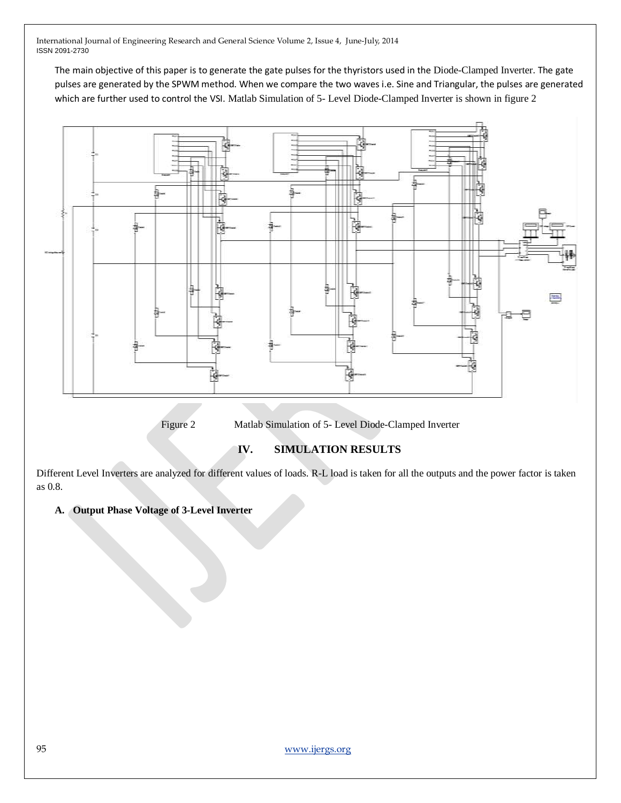The main objective of this paper is to generate the gate pulses for the thyristors used in the Diode-Clamped Inverter. The gate pulses are generated by the SPWM method. When we compare the two waves i.e. Sine and Triangular, the pulses are generated which are further used to control the VSI. Matlab Simulation of 5- Level Diode-Clamped Inverter is shown in figure 2



Figure 2 Matlab Simulation of 5- Level Diode-Clamped Inverter

#### **IV. SIMULATION RESULTS**

Different Level Inverters are analyzed for different values of loads. R-L load is taken for all the outputs and the power factor is taken as 0.8.

#### **A. Output Phase Voltage of 3-Level Inverter**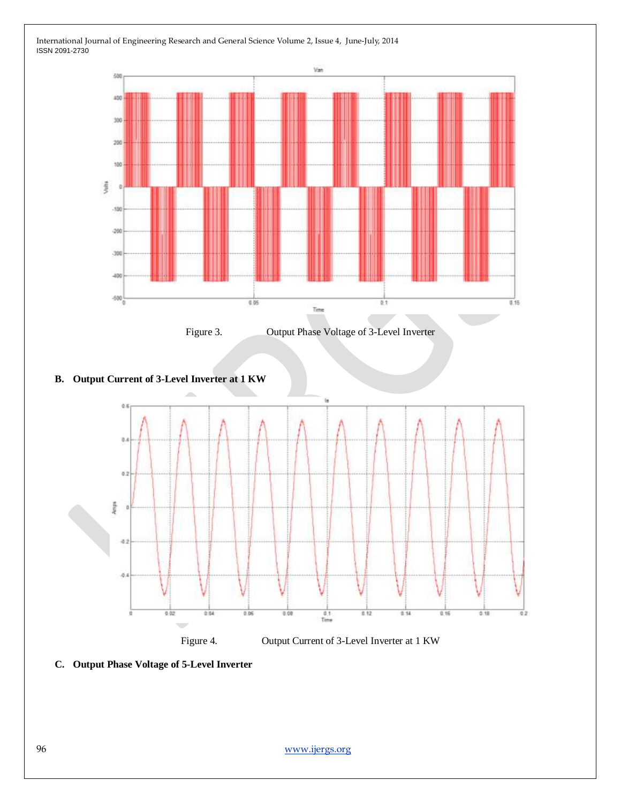

Figure 3. Output Phase Voltage of 3-Level Inverter

### **B. Output Current of 3-Level Inverter at 1 KW**



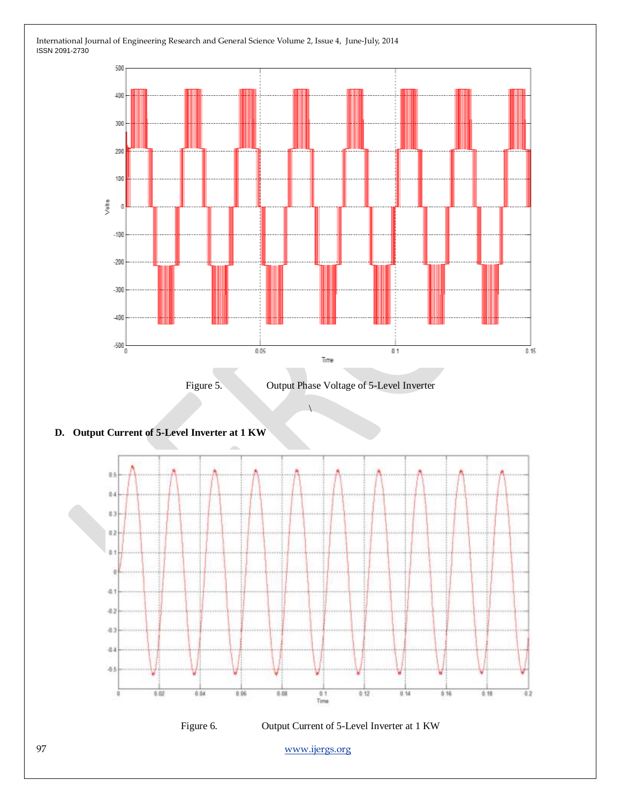





 $\overline{1}$ 

## **D. Output Current of 5-Level Inverter at 1 KW**

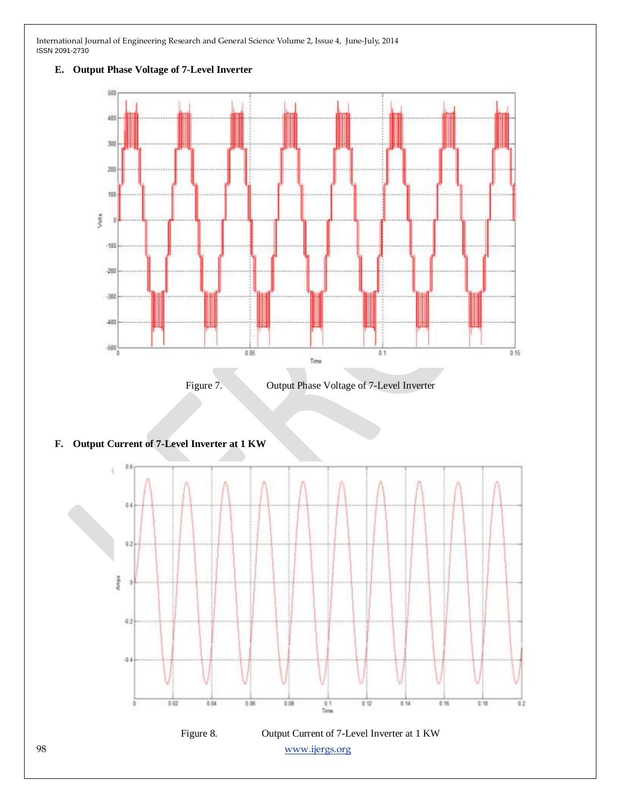

#### **E. Output Phase Voltage of 7-Level Inverter**



#### **F. Output Current of 7-Level Inverter at 1 KW**

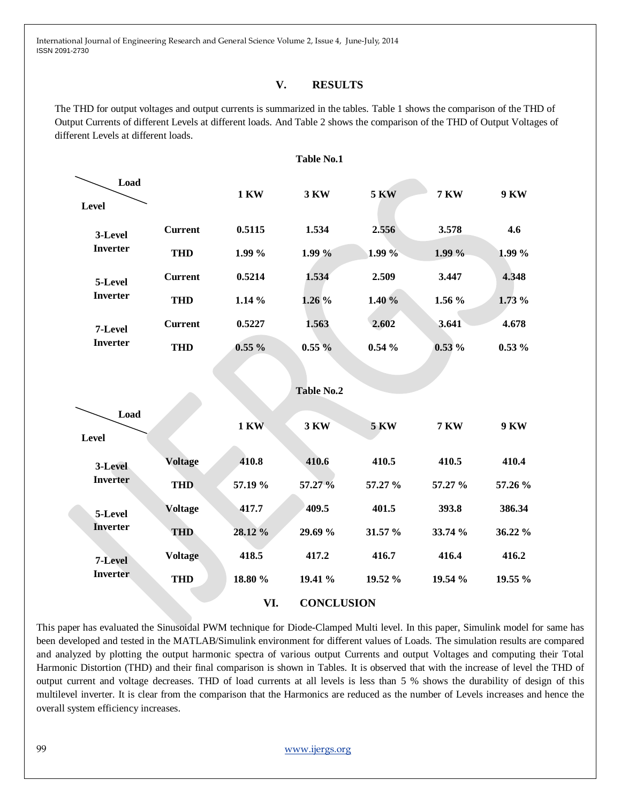#### **V. RESULTS**

The THD for output voltages and output currents is summarized in the tables. Table 1 shows the comparison of the THD of Output Currents of different Levels at different loads. And Table 2 shows the comparison of the THD of Output Voltages of different Levels at different loads.



This paper has evaluated the Sinusoidal PWM technique for Diode-Clamped Multi level. In this paper, Simulink model for same has been developed and tested in the MATLAB/Simulink environment for different values of Loads. The simulation results are compared and analyzed by plotting the output harmonic spectra of various output Currents and output Voltages and computing their Total Harmonic Distortion (THD) and their final comparison is shown in Tables. It is observed that with the increase of level the THD of output current and voltage decreases. THD of load currents at all levels is less than 5 % shows the durability of design of this multilevel inverter. It is clear from the comparison that the Harmonics are reduced as the number of Levels increases and hence the overall system efficiency increases.